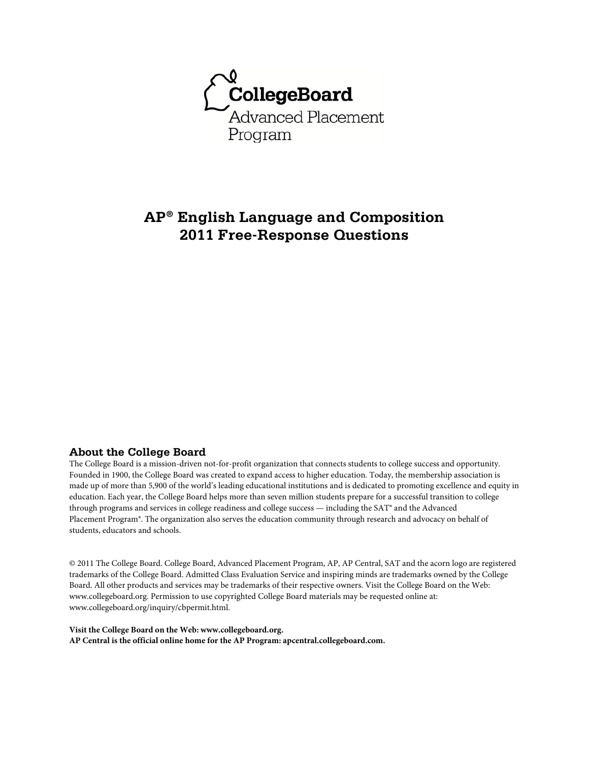

# **AP® English Language and Composition 2011 Free-Response Questions**

## **About the College Board**

The College Board is a mission-driven not-for-profit organization that connects students to college success and opportunity. Founded in 1900, the College Board was created to expand access to higher education. Today, the membership association is made up of more than 5,900 of the world's leading educational institutions and is dedicated to promoting excellence and equity in education. Each year, the College Board helps more than seven million students prepare for a successful transition to college through programs and services in college readiness and college success — including the SAT® and the Advanced Placement Program®. The organization also serves the education community through research and advocacy on behalf of students, educators and schools.

© 2011 The College Board. College Board, Advanced Placement Program, AP, AP Central, SAT and the acorn logo are registered trademarks of the College Board. Admitted Class Evaluation Service and inspiring minds are trademarks owned by the College Board. All other products and services may be trademarks of their respective owners. Visit the College Board on the Web: www.collegeboard.org. Permission to use copyrighted College Board materials may be requested online at: www.collegeboard.org/inquiry/cbpermit.html.

**Visit the College Board on the Web: www.collegeboard.org. AP Central is the official online home for the AP Program: apcentral.collegeboard.com.**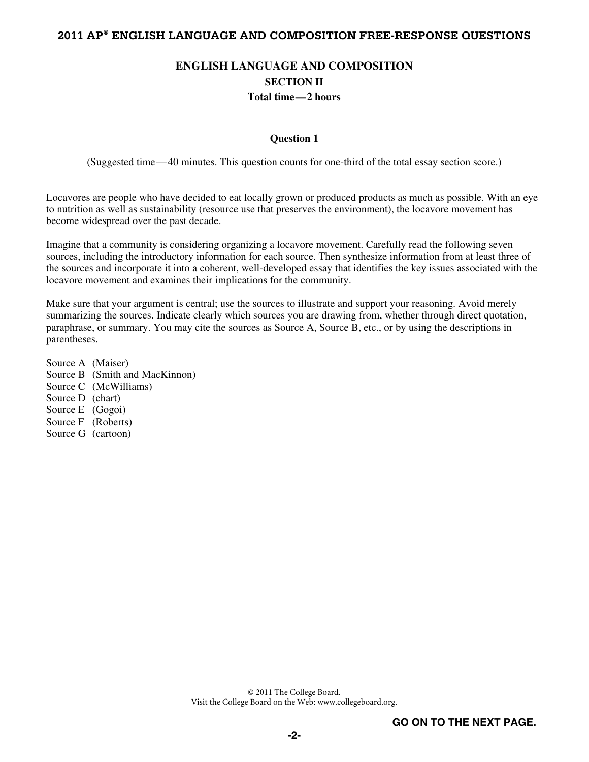# **ENGLISH LANGUAGE AND COMPOSITION SECTION II Total time—2 hours**

#### **Question 1**

(Suggested time—40 minutes. This question counts for one-third of the total essay section score.)

Locavores are people who have decided to eat locally grown or produced products as much as possible. With an eye to nutrition as well as sustainability (resource use that preserves the environment), the locavore movement has become widespread over the past decade.

Imagine that a community is considering organizing a locavore movement. Carefully read the following seven sources, including the introductory information for each source. Then synthesize information from at least three of the sources and incorporate it into a coherent, well-developed essay that identifies the key issues associated with the locavore movement and examines their implications for the community.

Make sure that your argument is central; use the sources to illustrate and support your reasoning. Avoid merely summarizing the sources. Indicate clearly which sources you are drawing from, whether through direct quotation, paraphrase, or summary. You may cite the sources as Source A, Source B, etc., or by using the descriptions in parentheses.

- Source A (Maiser)
- Source B (Smith and MacKinnon)
- Source C (McWilliams)
- Source D (chart)
- Source E (Gogoi)
- Source F (Roberts)
- Source G (cartoon)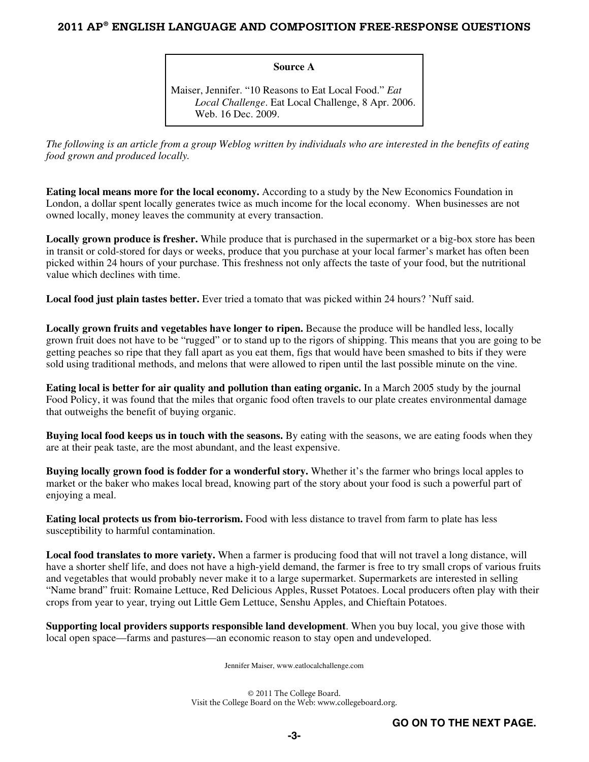#### **Source A**

Maiser, Jennifer. "10 Reasons to Eat Local Food." *Eat Local Challenge*. Eat Local Challenge, 8 Apr. 2006. Web. 16 Dec. 2009.

*The following is an article from a group Weblog written by individuals who are interested in the benefits of eating food grown and produced locally.* 

**Eating local means more for the local economy.** According to a study by the New Economics Foundation in London, a dollar spent locally generates twice as much income for the local economy. When businesses are not owned locally, money leaves the community at every transaction.

**Locally grown produce is fresher.** While produce that is purchased in the supermarket or a big-box store has been in transit or cold-stored for days or weeks, produce that you purchase at your local farmer's market has often been picked within 24 hours of your purchase. This freshness not only affects the taste of your food, but the nutritional value which declines with time.

**Local food just plain tastes better.** Ever tried a tomato that was picked within 24 hours? 'Nuff said.

**Locally grown fruits and vegetables have longer to ripen.** Because the produce will be handled less, locally grown fruit does not have to be "rugged" or to stand up to the rigors of shipping. This means that you are going to be getting peaches so ripe that they fall apart as you eat them, figs that would have been smashed to bits if they were sold using traditional methods, and melons that were allowed to ripen until the last possible minute on the vine.

**Eating local is better for air quality and pollution than eating organic.** In a March 2005 study by the journal Food Policy, it was found that the miles that organic food often travels to our plate creates environmental damage that outweighs the benefit of buying organic.

**Buying local food keeps us in touch with the seasons.** By eating with the seasons, we are eating foods when they are at their peak taste, are the most abundant, and the least expensive.

**Buying locally grown food is fodder for a wonderful story.** Whether it's the farmer who brings local apples to market or the baker who makes local bread, knowing part of the story about your food is such a powerful part of enjoying a meal.

**Eating local protects us from bio-terrorism.** Food with less distance to travel from farm to plate has less susceptibility to harmful contamination.

**Local food translates to more variety.** When a farmer is producing food that will not travel a long distance, will have a shorter shelf life, and does not have a high-yield demand, the farmer is free to try small crops of various fruits and vegetables that would probably never make it to a large supermarket. Supermarkets are interested in selling "Name brand" fruit: Romaine Lettuce, Red Delicious Apples, Russet Potatoes. Local producers often play with their crops from year to year, trying out Little Gem Lettuce, Senshu Apples, and Chieftain Potatoes.

**Supporting local providers supports responsible land development**. When you buy local, you give those with local open space—farms and pastures—an economic reason to stay open and undeveloped.

Jennifer Maiser, www.eatlocalchallenge.com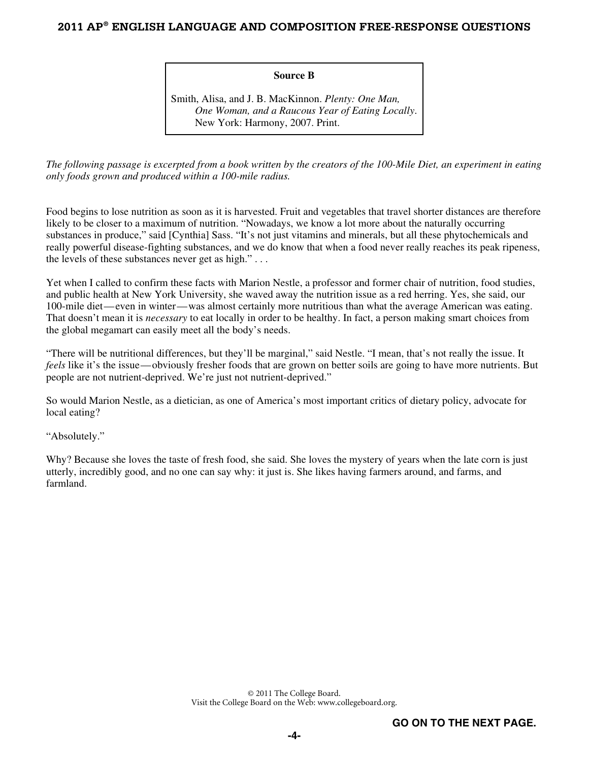#### **Source B**

Smith, Alisa, and J. B. MacKinnon. *Plenty: One Man, One Woman, and a Raucous Year of Eating Locally*. New York: Harmony, 2007. Print.

*The following passage is excerpted from a book written by the creators of the 100-Mile Diet, an experiment in eating only foods grown and produced within a 100-mile radius.* 

Food begins to lose nutrition as soon as it is harvested. Fruit and vegetables that travel shorter distances are therefore likely to be closer to a maximum of nutrition. "Nowadays, we know a lot more about the naturally occurring substances in produce," said [Cynthia] Sass. "It's not just vitamins and minerals, but all these phytochemicals and really powerful disease-fighting substances, and we do know that when a food never really reaches its peak ripeness, the levels of these substances never get as high." . . .

Yet when I called to confirm these facts with Marion Nestle, a professor and former chair of nutrition, food studies, and public health at New York University, she waved away the nutrition issue as a red herring. Yes, she said, our 100-mile diet—even in winter—was almost certainly more nutritious than what the average American was eating. That doesn't mean it is *necessary* to eat locally in order to be healthy. In fact, a person making smart choices from the global megamart can easily meet all the body's needs.

"There will be nutritional differences, but they'll be marginal," said Nestle. "I mean, that's not really the issue. It *feels* like it's the issue—obviously fresher foods that are grown on better soils are going to have more nutrients. But people are not nutrient-deprived. We're just not nutrient-deprived."

So would Marion Nestle, as a dietician, as one of America's most important critics of dietary policy, advocate for local eating?

"Absolutely."

Why? Because she loves the taste of fresh food, she said. She loves the mystery of years when the late corn is just utterly, incredibly good, and no one can say why: it just is. She likes having farmers around, and farms, and farmland.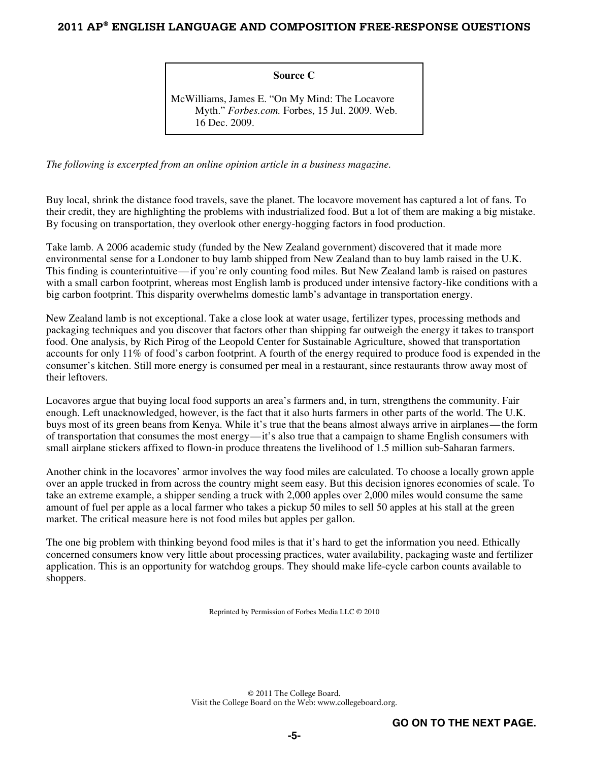#### **Source C**

McWilliams, James E. "On My Mind: The Locavore Myth." *Forbes.com.* Forbes, 15 Jul. 2009. Web. 16 Dec. 2009.

*The following is excerpted from an online opinion article in a business magazine.* 

Buy local, shrink the distance food travels, save the planet. The locavore movement has captured a lot of fans. To their credit, they are highlighting the problems with industrialized food. But a lot of them are making a big mistake. By focusing on transportation, they overlook other energy-hogging factors in food production.

Take lamb. A 2006 academic study (funded by the New Zealand government) discovered that it made more environmental sense for a Londoner to buy lamb shipped from New Zealand than to buy lamb raised in the U.K. This finding is counterintuitive—if you're only counting food miles. But New Zealand lamb is raised on pastures with a small carbon footprint, whereas most English lamb is produced under intensive factory-like conditions with a big carbon footprint. This disparity overwhelms domestic lamb's advantage in transportation energy.

New Zealand lamb is not exceptional. Take a close look at water usage, fertilizer types, processing methods and packaging techniques and you discover that factors other than shipping far outweigh the energy it takes to transport food. One analysis, by Rich Pirog of the Leopold Center for Sustainable Agriculture, showed that transportation accounts for only 11% of food's carbon footprint. A fourth of the energy required to produce food is expended in the consumer's kitchen. Still more energy is consumed per meal in a restaurant, since restaurants throw away most of their leftovers.

Locavores argue that buying local food supports an area's farmers and, in turn, strengthens the community. Fair enough. Left unacknowledged, however, is the fact that it also hurts farmers in other parts of the world. The U.K. buys most of its green beans from Kenya. While it's true that the beans almost always arrive in airplanes—the form of transportation that consumes the most energy—it's also true that a campaign to shame English consumers with small airplane stickers affixed to flown-in produce threatens the livelihood of 1.5 million sub-Saharan farmers.

Another chink in the locavores' armor involves the way food miles are calculated. To choose a locally grown apple over an apple trucked in from across the country might seem easy. But this decision ignores economies of scale. To take an extreme example, a shipper sending a truck with 2,000 apples over 2,000 miles would consume the same amount of fuel per apple as a local farmer who takes a pickup 50 miles to sell 50 apples at his stall at the green market. The critical measure here is not food miles but apples per gallon.

The one big problem with thinking beyond food miles is that it's hard to get the information you need. Ethically concerned consumers know very little about processing practices, water availability, packaging waste and fertilizer application. This is an opportunity for watchdog groups. They should make life-cycle carbon counts available to shoppers.

Reprinted by Permission of Forbes Media LLC © 2010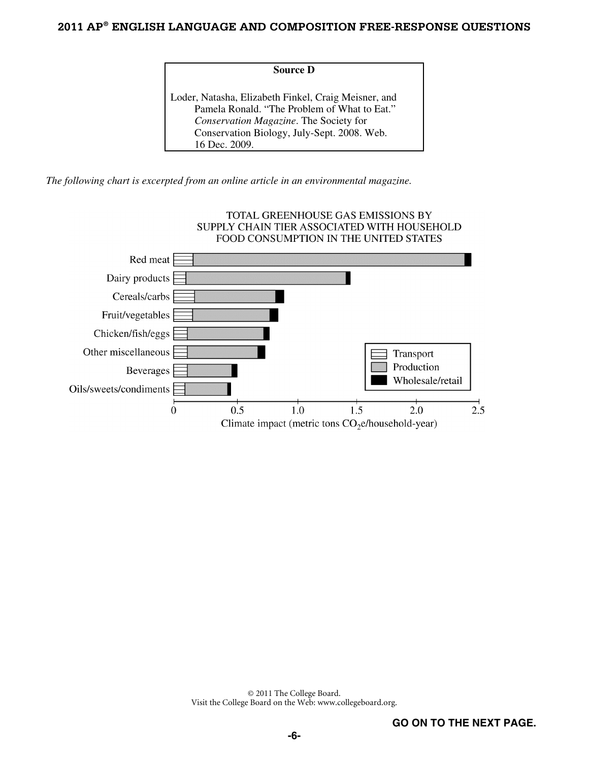| <b>Source D</b>                                                                                                                                                                                                |
|----------------------------------------------------------------------------------------------------------------------------------------------------------------------------------------------------------------|
| Loder, Natasha, Elizabeth Finkel, Craig Meisner, and<br>Pamela Ronald. "The Problem of What to Eat."<br>Conservation Magazine. The Society for<br>Conservation Biology, July-Sept. 2008. Web.<br>16 Dec. 2009. |

*The following chart is excerpted from an online article in an environmental magazine.* 

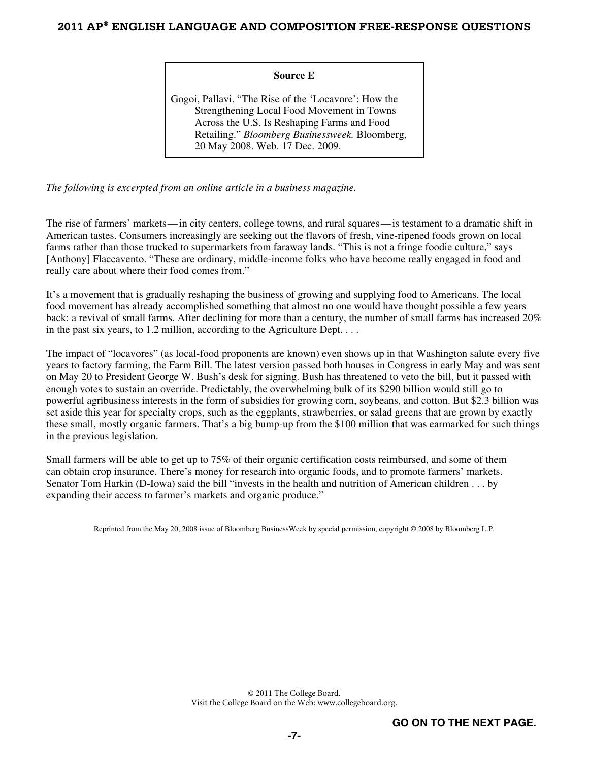#### **Source E**

Gogoi, Pallavi. "The Rise of the 'Locavore': How the Strengthening Local Food Movement in Towns Across the U.S. Is Reshaping Farms and Food Retailing." *Bloomberg Businessweek.* Bloomberg, 20 May 2008. Web. 17 Dec. 2009.

*The following is excerpted from an online article in a business magazine.* 

The rise of farmers' markets—in city centers, college towns, and rural squares—is testament to a dramatic shift in American tastes. Consumers increasingly are seeking out the flavors of fresh, vine-ripened foods grown on local farms rather than those trucked to supermarkets from faraway lands. "This is not a fringe foodie culture," says [Anthony] Flaccavento. "These are ordinary, middle-income folks who have become really engaged in food and really care about where their food comes from."

It's a movement that is gradually reshaping the business of growing and supplying food to Americans. The local food movement has already accomplished something that almost no one would have thought possible a few years back: a revival of small farms. After declining for more than a century, the number of small farms has increased 20% in the past six years, to 1.2 million, according to the Agriculture Dept. . . .

The impact of "locavores" (as local-food proponents are known) even shows up in that Washington salute every five years to factory farming, the Farm Bill. The latest version passed both houses in Congress in early May and was sent on May 20 to President George W. Bush's desk for signing. Bush has threatened to veto the bill, but it passed with enough votes to sustain an override. Predictably, the overwhelming bulk of its \$290 billion would still go to powerful agribusiness interests in the form of subsidies for growing corn, soybeans, and cotton. But \$2.3 billion was set aside this year for specialty crops, such as the eggplants, strawberries, or salad greens that are grown by exactly these small, mostly organic farmers. That's a big bump-up from the \$100 million that was earmarked for such things in the previous legislation.

Small farmers will be able to get up to 75% of their organic certification costs reimbursed, and some of them can obtain crop insurance. There's money for research into organic foods, and to promote farmers' markets. Senator Tom Harkin (D-Iowa) said the bill "invests in the health and nutrition of American children . . . by expanding their access to farmer's markets and organic produce."

Reprinted from the May 20, 2008 issue of Bloomberg BusinessWeek by special permission, copyright © 2008 by Bloomberg L.P.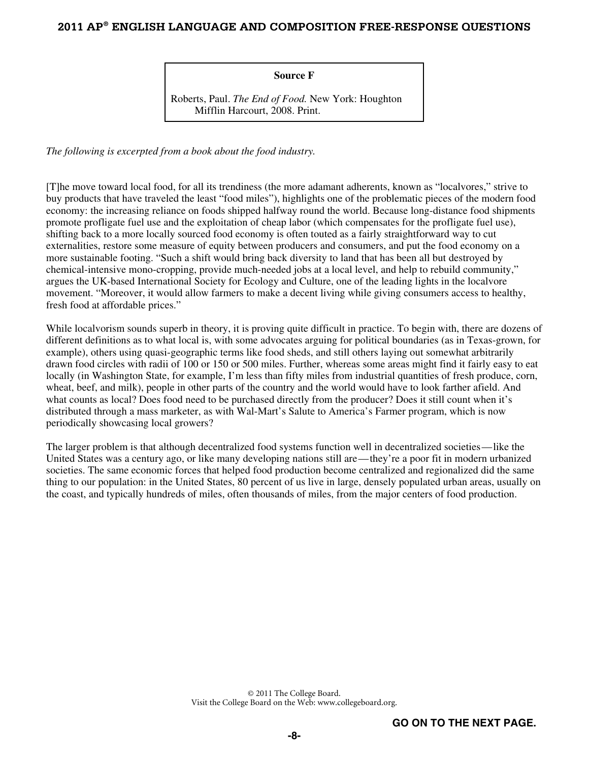#### **Source F**

Roberts, Paul. *The End of Food.* New York: Houghton Mifflin Harcourt, 2008. Print.

*The following is excerpted from a book about the food industry.* 

[T]he move toward local food, for all its trendiness (the more adamant adherents, known as "localvores," strive to buy products that have traveled the least "food miles"), highlights one of the problematic pieces of the modern food economy: the increasing reliance on foods shipped halfway round the world. Because long-distance food shipments promote profligate fuel use and the exploitation of cheap labor (which compensates for the profligate fuel use), shifting back to a more locally sourced food economy is often touted as a fairly straightforward way to cut externalities, restore some measure of equity between producers and consumers, and put the food economy on a more sustainable footing. "Such a shift would bring back diversity to land that has been all but destroyed by chemical-intensive mono-cropping, provide much-needed jobs at a local level, and help to rebuild community," argues the UK-based International Society for Ecology and Culture, one of the leading lights in the localvore movement. "Moreover, it would allow farmers to make a decent living while giving consumers access to healthy, fresh food at affordable prices."

While localvorism sounds superb in theory, it is proving quite difficult in practice. To begin with, there are dozens of different definitions as to what local is, with some advocates arguing for political boundaries (as in Texas-grown, for example), others using quasi-geographic terms like food sheds, and still others laying out somewhat arbitrarily drawn food circles with radii of 100 or 150 or 500 miles. Further, whereas some areas might find it fairly easy to eat locally (in Washington State, for example, I'm less than fifty miles from industrial quantities of fresh produce, corn, wheat, beef, and milk), people in other parts of the country and the world would have to look farther afield. And what counts as local? Does food need to be purchased directly from the producer? Does it still count when it's distributed through a mass marketer, as with Wal-Mart's Salute to America's Farmer program, which is now periodically showcasing local growers?

The larger problem is that although decentralized food systems function well in decentralized societies—like the United States was a century ago, or like many developing nations still are—they're a poor fit in modern urbanized societies. The same economic forces that helped food production become centralized and regionalized did the same thing to our population: in the United States, 80 percent of us live in large, densely populated urban areas, usually on the coast, and typically hundreds of miles, often thousands of miles, from the major centers of food production.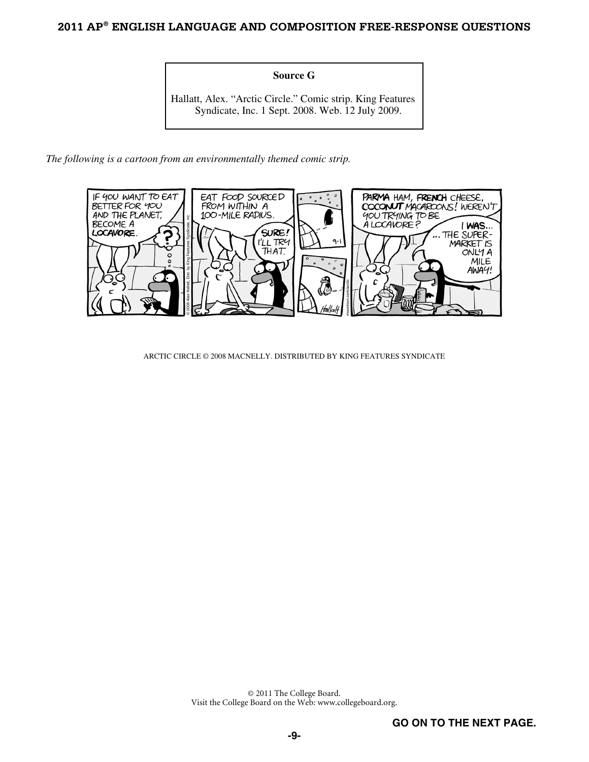#### **Source G**

Hallatt, Alex. "Arctic Circle." Comic strip. King Features Syndicate, Inc. 1 Sept. 2008. Web. 12 July 2009.

*The following is a cartoon from an environmentally themed comic strip.* 



ARCTIC CIRCLE © 2008 MACNELLY. DISTRIBUTED BY KING FEATURES SYNDICATE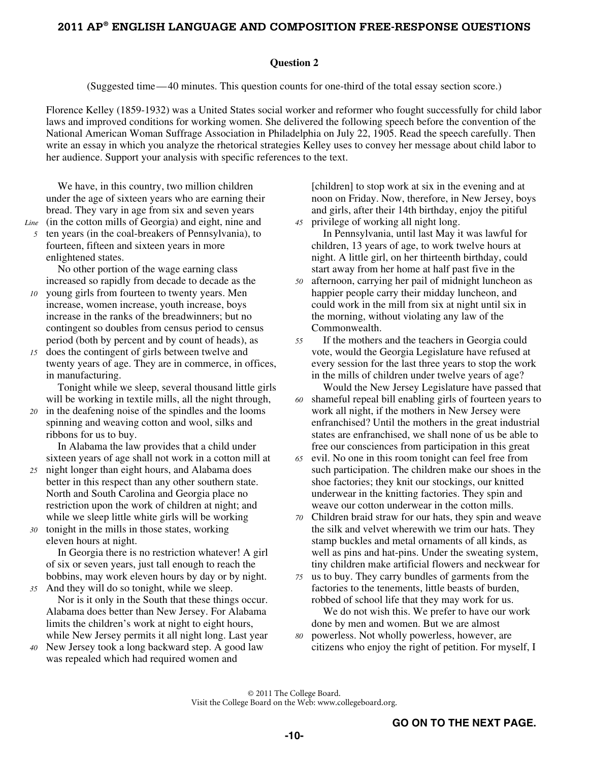#### **Question 2**

(Suggested time—40 minutes. This question counts for one-third of the total essay section score.)

Florence Kelley (1859-1932) was a United States social worker and reformer who fought successfully for child labor laws and improved conditions for working women. She delivered the following speech before the convention of the National American Woman Suffrage Association in Philadelphia on July 22, 1905. Read the speech carefully. Then write an essay in which you analyze the rhetorical strategies Kelley uses to convey her message about child labor to her audience. Support your analysis with specific references to the text.

We have, in this country, two million children under the age of sixteen years who are earning their bread. They vary in age from six and seven years (in the cotton mills of Georgia) and eight, nine and

*5* ten years (in the coal-breakers of Pennsylvania), to fourteen, fifteen and sixteen years in more enlightened states.

No other portion of the wage earning class increased so rapidly from decade to decade as the

- *10* young girls from fourteen to twenty years. Men increase, women increase, youth increase, boys increase in the ranks of the breadwinners; but no contingent so doubles from census period to census period (both by percent and by count of heads), as
- *15* does the contingent of girls between twelve and twenty years of age. They are in commerce, in offices, in manufacturing.

Tonight while we sleep, several thousand little girls will be working in textile mills, all the night through,

in the deafening noise of the spindles and the looms spinning and weaving cotton and wool, silks and ribbons for us to buy.

In Alabama the law provides that a child under sixteen years of age shall not work in a cotton mill at

- *25* night longer than eight hours, and Alabama does better in this respect than any other southern state. North and South Carolina and Georgia place no restriction upon the work of children at night; and while we sleep little white girls will be working
- *30* tonight in the mills in those states, working eleven hours at night.

In Georgia there is no restriction whatever! A girl of six or seven years, just tall enough to reach the bobbins, may work eleven hours by day or by night.

- *35* And they will do so tonight, while we sleep. Nor is it only in the South that these things occur. Alabama does better than New Jersey. For Alabama limits the children's work at night to eight hours, while New Jersey permits it all night long. Last year
- New Jersey took a long backward step. A good law was repealed which had required women and

[children] to stop work at six in the evening and at noon on Friday. Now, therefore, in New Jersey, boys and girls, after their 14th birthday, enjoy the pitiful *45* privilege of working all night long.

In Pennsylvania, until last May it was lawful for children, 13 years of age, to work twelve hours at night. A little girl, on her thirteenth birthday, could start away from her home at half past five in the

- *50* afternoon, carrying her pail of midnight luncheon as happier people carry their midday luncheon, and could work in the mill from six at night until six in the morning, without violating any law of the Commonwealth.
- *55* If the mothers and the teachers in Georgia could vote, would the Georgia Legislature have refused at every session for the last three years to stop the work in the mills of children under twelve years of age?

Would the New Jersey Legislature have passed that *60* shameful repeal bill enabling girls of fourteen years to work all night, if the mothers in New Jersey were enfranchised? Until the mothers in the great industrial states are enfranchised, we shall none of us be able to free our consciences from participation in this great

- *65* evil. No one in this room tonight can feel free from such participation. The children make our shoes in the shoe factories; they knit our stockings, our knitted underwear in the knitting factories. They spin and weave our cotton underwear in the cotton mills.
- *70* Children braid straw for our hats, they spin and weave the silk and velvet wherewith we trim our hats. They stamp buckles and metal ornaments of all kinds, as well as pins and hat-pins. Under the sweating system, tiny children make artificial flowers and neckwear for
- *75* us to buy. They carry bundles of garments from the factories to the tenements, little beasts of burden, robbed of school life that they may work for us. We do not wish this. We prefer to have our work
	- done by men and women. But we are almost
- *80* powerless. Not wholly powerless, however, are citizens who enjoy the right of petition. For myself, I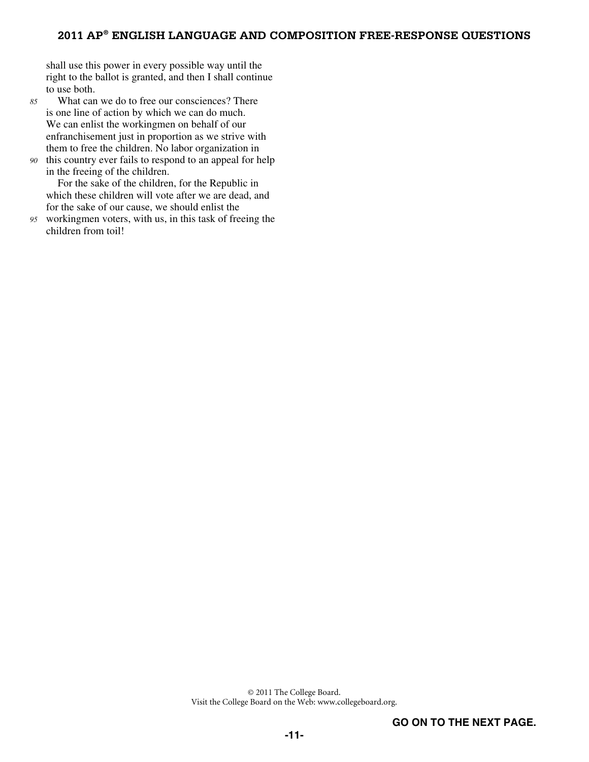shall use this power in every possible way until the right to the ballot is granted, and then I shall continue to use both.

- *85* What can we do to free our consciences? There is one line of action by which we can do much. We can enlist the workingmen on behalf of our enfranchisement just in proportion as we strive with them to free the children. No labor organization in
- *90* this country ever fails to respond to an appeal for help in the freeing of the children.

For the sake of the children, for the Republic in which these children will vote after we are dead, and for the sake of our cause, we should enlist the

*95* workingmen voters, with us, in this task of freeing the children from toil!